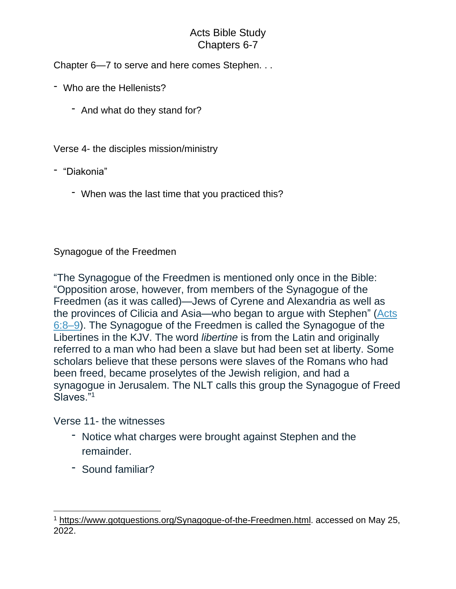## Acts Bible Study Chapters 6-7

Chapter 6—7 to serve and here comes Stephen. . .

- Who are the Hellenists?
	- And what do they stand for?

Verse 4- the disciples mission/ministry

- "Diakonia"
	- When was the last time that you practiced this?

## Synagogue of the Freedmen

"The Synagogue of the Freedmen is mentioned only once in the Bible: "Opposition arose, however, from members of the Synagogue of the Freedmen (as it was called)—Jews of Cyrene and Alexandria as well as the provinces of Cilicia and Asia—who began to argue with Stephen" [\(Acts](https://biblia.com/bible/esv/Acts%206.8%E2%80%939) [6:8–9\)](https://biblia.com/bible/esv/Acts%206.8%E2%80%939). The Synagogue of the Freedmen is called the Synagogue of the Libertines in the KJV. The word *libertine* is from the Latin and originally referred to a man who had been a slave but had been set at liberty. Some scholars believe that these persons were slaves of the Romans who had been freed, became proselytes of the Jewish religion, and had a synagogue in Jerusalem. The NLT calls this group the Synagogue of Freed Slaves."<sup>1</sup>

Verse 11- the witnesses

- Notice what charges were brought against Stephen and the remainder.
- Sound familiar?

<sup>&</sup>lt;sup>1</sup> [https://www.gotquestions.org/Synagogue-of-the-Freedmen.html.](https://www.gotquestions.org/Synagogue-of-the-Freedmen.html) accessed on May 25, 2022.